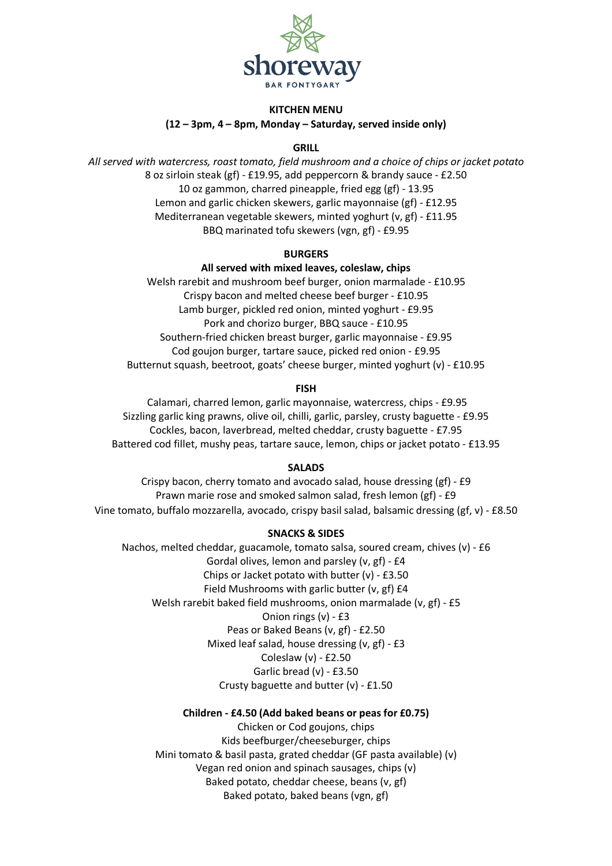

### **KITCHEN MENU (12 – 3pm, 4 – 8pm, Monday – Saturday, served inside only)**

# **GRILL**

*All served with watercress, roast tomato, field mushroom and a choice of chips or jacket potato* 8 oz sirloin steak (gf) - £19.95, add peppercorn & brandy sauce - £2.50 10 oz gammon, charred pineapple, fried egg (gf) - 13.95 Lemon and garlic chicken skewers, garlic mayonnaise (gf) - £12.95 Mediterranean vegetable skewers, minted yoghurt (v, gf) - £11.95 BBQ marinated tofu skewers (vgn, gf) - £9.95

### **BURGERS**

## **All served with mixed leaves, coleslaw, chips**

Welsh rarebit and mushroom beef burger, onion marmalade - £10.95 Crispy bacon and melted cheese beef burger - £10.95 Lamb burger, pickled red onion, minted yoghurt - £9.95 Pork and chorizo burger, BBQ sauce - £10.95 Southern-fried chicken breast burger, garlic mayonnaise - £9.95 Cod goujon burger, tartare sauce, picked red onion - £9.95 Butternut squash, beetroot, goats' cheese burger, minted yoghurt (v) - £10.95

### **FISH**

Calamari, charred lemon, garlic mayonnaise, watercress, chips - £9.95 Sizzling garlic king prawns, olive oil, chilli, garlic, parsley, crusty baguette - £9.95 Cockles, bacon, laverbread, melted cheddar, crusty baguette - £7.95 Battered cod fillet, mushy peas, tartare sauce, lemon, chips or jacket potato - £13.95

### **SALADS**

Crispy bacon, cherry tomato and avocado salad, house dressing (gf) - £9 Prawn marie rose and smoked salmon salad, fresh lemon (gf) - £9 Vine tomato, buffalo mozzarella, avocado, crispy basil salad, balsamic dressing (gf, v) - £8.50

### **SNACKS & SIDES**

Nachos, melted cheddar, guacamole, tomato salsa, soured cream, chives (v) - £6 Gordal olives, lemon and parsley (v, gf) - £4 Chips or Jacket potato with butter (v) - £3.50 Field Mushrooms with garlic butter (v, gf) £4 Welsh rarebit baked field mushrooms, onion marmalade (v, gf) - £5 Onion rings (v) - £3 Peas or Baked Beans (v, gf) - £2.50 Mixed leaf salad, house dressing (v, gf) - £3 Coleslaw (v) - £2.50 Garlic bread (v) - £3.50 Crusty baguette and butter (v) - £1.50

### **Children - £4.50 (Add baked beans or peas for £0.75)**

Chicken or Cod goujons, chips Kids beefburger/cheeseburger, chips Mini tomato & basil pasta, grated cheddar (GF pasta available) (v) Vegan red onion and spinach sausages, chips (v) Baked potato, cheddar cheese, beans (v, gf) Baked potato, baked beans (vgn, gf)